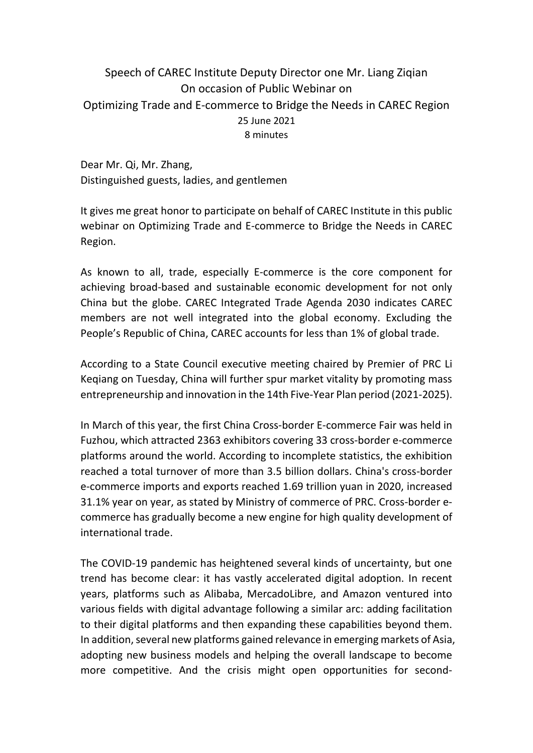## Speech of CAREC Institute Deputy Director one Mr. Liang Ziqian On occasion of Public Webinar on Optimizing Trade and E-commerce to Bridge the Needs in CAREC Region 25 June 2021 8 minutes

Dear Mr. Qi, Mr. Zhang, Distinguished guests, ladies, and gentlemen

It gives me great honor to participate on behalf of CAREC Institute in this public webinar on Optimizing Trade and E-commerce to Bridge the Needs in CAREC Region.

As known to all, trade, especially E-commerce is the core component for achieving broad-based and sustainable economic development for not only China but the globe. CAREC Integrated Trade Agenda 2030 indicates CAREC members are not well integrated into the global economy. Excluding the People's Republic of China, CAREC accounts for less than 1% of global trade.

According to a State Council executive meeting chaired by Premier of PRC Li Keqiang on Tuesday, China will further spur market vitality by promoting mass entrepreneurship and innovation in the 14th Five-Year Plan period (2021-2025).

In March of this year, the first China Cross-border E-commerce Fair was held in Fuzhou, which attracted 2363 exhibitors covering 33 cross-border e-commerce platforms around the world. According to incomplete statistics, the exhibition reached a total turnover of more than 3.5 billion dollars. China's cross-border e-commerce imports and exports reached 1.69 trillion yuan in 2020, increased 31.1% year on year, as stated by Ministry of commerce of PRC. Cross-border ecommerce has gradually become a new engine for high quality development of international trade.

The COVID-19 pandemic has heightened several kinds of uncertainty, but one trend has become clear: it has vastly accelerated digital adoption. In recent years, platforms such as Alibaba, MercadoLibre, and Amazon ventured into various fields with digital advantage following a similar arc: adding facilitation to their digital platforms and then expanding these capabilities beyond them. In addition, several new platforms gained relevance in emerging markets of Asia, adopting new business models and helping the overall landscape to become more competitive. And the crisis might open opportunities for second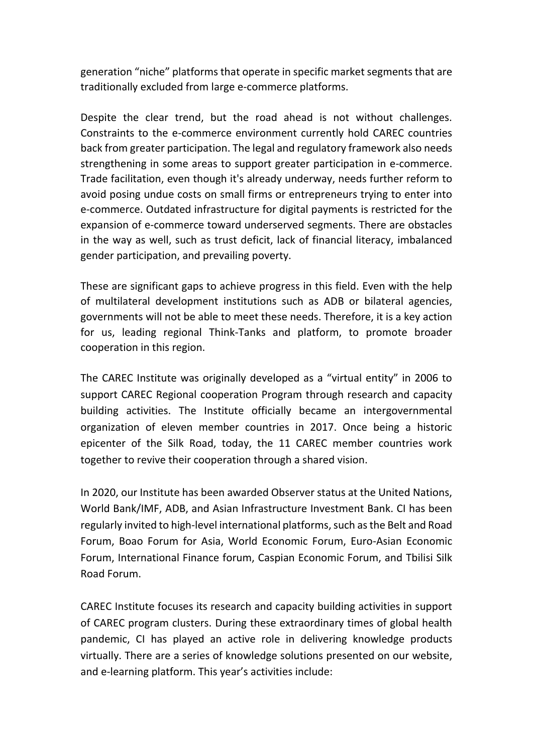generation "niche" platforms that operate in specific market segments that are traditionally excluded from large e-commerce platforms.

Despite the clear trend, but the road ahead is not without challenges. Constraints to the e-commerce environment currently hold CAREC countries back from greater participation. The legal and regulatory framework also needs strengthening in some areas to support greater participation in e-commerce. Trade facilitation, even though it's already underway, needs further reform to avoid posing undue costs on small firms or entrepreneurs trying to enter into e-commerce. Outdated infrastructure for digital payments is restricted for the expansion of e-commerce toward underserved segments. There are obstacles in the way as well, such as trust deficit, lack of financial literacy, imbalanced gender participation, and prevailing poverty.

These are significant gaps to achieve progress in this field. Even with the help of multilateral development institutions such as ADB or bilateral agencies, governments will not be able to meet these needs. Therefore, it is a key action for us, leading regional Think-Tanks and platform, to promote broader cooperation in this region.

The CAREC Institute was originally developed as a "virtual entity" in 2006 to support CAREC Regional cooperation Program through research and capacity building activities. The Institute officially became an intergovernmental organization of eleven member countries in 2017. Once being a historic epicenter of the Silk Road, today, the 11 CAREC member countries work together to revive their cooperation through a shared vision.

In 2020, our Institute has been awarded Observer status at the United Nations, World Bank/IMF, ADB, and Asian Infrastructure Investment Bank. CI has been regularly invited to high-level international platforms, such as the Belt and Road Forum, Boao Forum for Asia, World Economic Forum, Euro-Asian Economic Forum, International Finance forum, Caspian Economic Forum, and Tbilisi Silk Road Forum.

CAREC Institute focuses its research and capacity building activities in support of CAREC program clusters. During these extraordinary times of global health pandemic, CI has played an active role in delivering knowledge products virtually. There are a series of knowledge solutions presented on our website, and e-learning platform. This year's activities include: